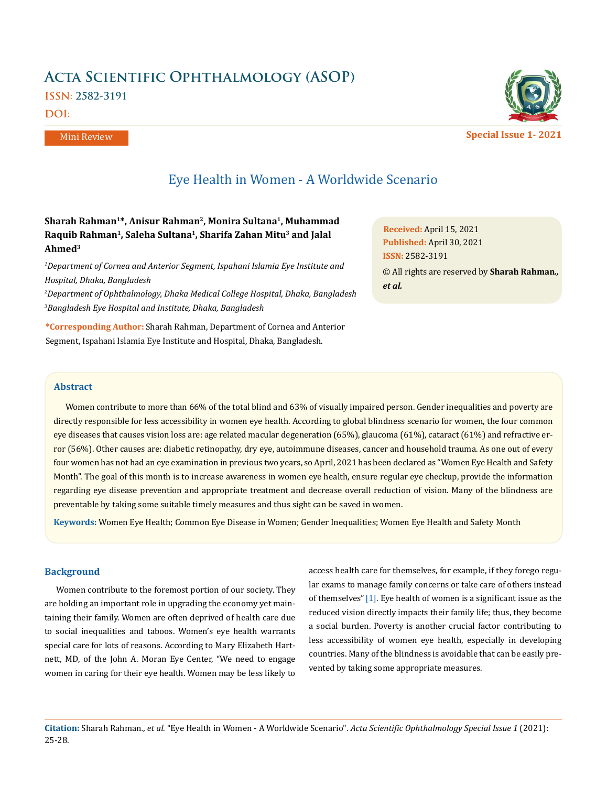# **Acta Scientific Ophthalmology (ASOP) ISSN: 2582-3191**

**DOI:** 

Mini Review



**Special Issue 1- 2021**

# Eye Health in Women - A Worldwide Scenario

# **Sharah Rahman1\*, Anisur Rahman2, Monira Sultana1, Muhammad Raquib Rahman1, Saleha Sultana1, Sharifa Zahan Mitu3 and Jalal Ahmed3**

*1 Department of Cornea and Anterior Segment, Ispahani Islamia Eye Institute and Hospital, Dhaka, Bangladesh*

*2 Department of Ophthalmology, Dhaka Medical College Hospital, Dhaka, Bangladesh 3 Bangladesh Eye Hospital and Institute, Dhaka, Bangladesh*

**\*Corresponding Author:** Sharah Rahman, Department of Cornea and Anterior Segment, Ispahani Islamia Eye Institute and Hospital, Dhaka, Bangladesh.

**Received:** April 15, 2021 **Published:** April 30, 2021 © All rights are reserved by **Sharah Rahman***., et al.* **ISSN:** 2582-3191

### **Abstract**

Women contribute to more than 66% of the total blind and 63% of visually impaired person. Gender inequalities and poverty are directly responsible for less accessibility in women eye health. According to global blindness scenario for women, the four common eye diseases that causes vision loss are: age related macular degeneration (65%), glaucoma (61%), cataract (61%) and refractive error (56%). Other causes are: diabetic retinopathy, dry eye, autoimmune diseases, cancer and household trauma. As one out of every four women has not had an eye examination in previous two years, so April, 2021 has been declared as "Women Eye Health and Safety Month". The goal of this month is to increase awareness in women eye health, ensure regular eye checkup, provide the information regarding eye disease prevention and appropriate treatment and decrease overall reduction of vision. Many of the blindness are preventable by taking some suitable timely measures and thus sight can be saved in women.

**Keywords:** Women Eye Health; Common Eye Disease in Women; Gender Inequalities; Women Eye Health and Safety Month

#### **Background**

Women contribute to the foremost portion of our society. They are holding an important role in upgrading the economy yet maintaining their family. Women are often deprived of health care due to social inequalities and taboos. Women's eye health warrants special care for lots of reasons. According to Mary Elizabeth Hartnett, MD, of the John A. Moran Eye Center, "We need to engage women in caring for their eye health. Women may be less likely to access health care for themselves, for example, if they forego regular exams to manage family concerns or take care of others instead of themselves"[1]. Eye health of women is a significant issue as the reduced vision directly impacts their family life; thus, they become a social burden. Poverty is another crucial factor contributing to less accessibility of women eye health, especially in developing countries. Many of the blindness is avoidable that can be easily prevented by taking some appropriate measures.

**Citation:** Sharah Rahman*., et al.* "Eye Health in Women - A Worldwide Scenario". *Acta Scientific Ophthalmology Special Issue 1* (2021): 25-28.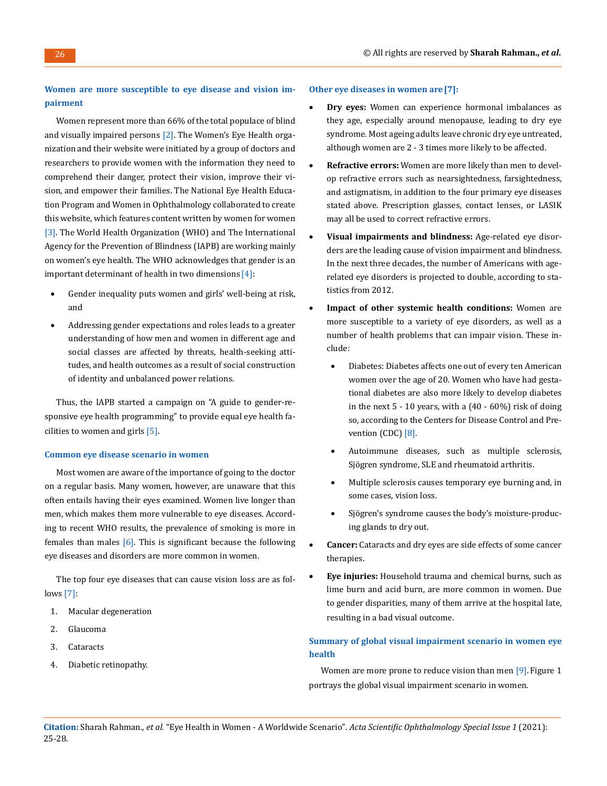# **Women are more susceptible to eye disease and vision impairment**

Women represent more than 66% of the total populace of blind and visually impaired persons  $[2]$ . The Women's Eye Health organization and their website were initiated by a group of doctors and researchers to provide women with the information they need to comprehend their danger, protect their vision, improve their vision, and empower their families. The National Eye Health Education Program and Women in Ophthalmology collaborated to create this website, which features content written by women for women [3]. The World Health Organization (WHO) and The International Agency for the Prevention of Blindness (IAPB) are working mainly on women's eye health. The WHO acknowledges that gender is an important determinant of health in two dimensions [4]:

- Gender inequality puts women and girls' well-being at risk, and
- Addressing gender expectations and roles leads to a greater understanding of how men and women in different age and social classes are affected by threats, health-seeking attitudes, and health outcomes as a result of social construction of identity and unbalanced power relations.

Thus, the IAPB started a campaign on "A guide to gender-responsive eye health programming" to provide equal eye health facilities to women and girls [5].

#### **Common eye disease scenario in women**

Most women are aware of the importance of going to the doctor on a regular basis. Many women, however, are unaware that this often entails having their eyes examined. Women live longer than men, which makes them more vulnerable to eye diseases. According to recent WHO results, the prevalence of smoking is more in females than males  $[6]$ . This is significant because the following eye diseases and disorders are more common in women.

The top four eye diseases that can cause vision loss are as follows [7]:

- 1. Macular degeneration
- 2. Glaucoma
- 3. Cataracts
- 4. Diabetic retinopathy.

#### **Other eye diseases in women are[7]:**

- **Dry eyes:** Women can experience hormonal imbalances as they age, especially around menopause, leading to dry eye syndrome. Most ageing adults leave chronic dry eye untreated, although women are 2 - 3 times more likely to be affected.
- **Refractive errors:** Women are more likely than men to develop refractive errors such as nearsightedness, farsightedness, and astigmatism, in addition to the four primary eye diseases stated above. Prescription glasses, contact lenses, or LASIK may all be used to correct refractive errors.
- **Visual impairments and blindness:** Age-related eye disorders are the leading cause of vision impairment and blindness. In the next three decades, the number of Americans with agerelated eye disorders is projected to double, according to statistics from 2012.
- **Impact of other systemic health conditions:** Women are more susceptible to a variety of eye disorders, as well as a number of health problems that can impair vision. These include:
	- • Diabetes: Diabetes affects one out of every ten American women over the age of 20. Women who have had gestational diabetes are also more likely to develop diabetes in the next  $5 - 10$  years, with a  $(40 - 60\%)$  risk of doing so, according to the Centers for Disease Control and Prevention (CDC) [8].
	- Autoimmune diseases, such as multiple sclerosis, Sjögren syndrome, SLE and rheumatoid arthritis.
	- Multiple sclerosis causes temporary eye burning and, in some cases, vision loss.
	- Sjögren's syndrome causes the body's moisture-producing glands to dry out.
- **Cancer:** Cataracts and dry eyes are side effects of some cancer therapies.
- **Eye injuries:** Household trauma and chemical burns, such as lime burn and acid burn, are more common in women. Due to gender disparities, many of them arrive at the hospital late, resulting in a bad visual outcome.

## **Summary of global visual impairment scenario in women eye health**

Women are more prone to reduce vision than men [9]. Figure 1 portrays the global visual impairment scenario in women.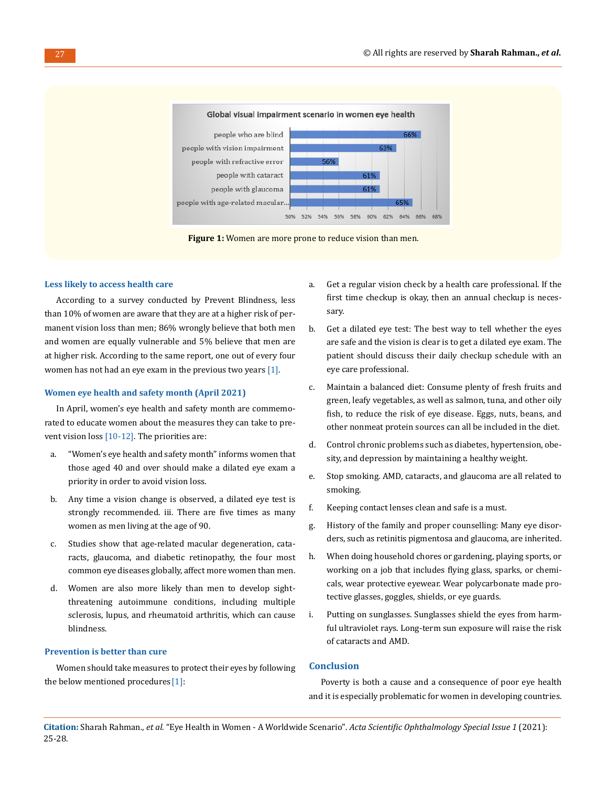

**Figure 1:** Women are more prone to reduce vision than men.

#### **Less likely to access health care**

According to a survey conducted by Prevent Blindness, less than 10% of women are aware that they are at a higher risk of permanent vision loss than men; 86% wrongly believe that both men and women are equally vulnerable and 5% believe that men are at higher risk. According to the same report, one out of every four women has not had an eye exam in the previous two years [1].

#### **Women eye health and safety month (April 2021)**

In April, women's eye health and safety month are commemorated to educate women about the measures they can take to prevent vision loss [10-12]. The priorities are:

- a. "Women's eye health and safety month" informs women that those aged 40 and over should make a dilated eye exam a priority in order to avoid vision loss.
- b. Any time a vision change is observed, a dilated eye test is strongly recommended. iii. There are five times as many women as men living at the age of 90.
- c. Studies show that age-related macular degeneration, cataracts, glaucoma, and diabetic retinopathy, the four most common eye diseases globally, affect more women than men.
- d. Women are also more likely than men to develop sightthreatening autoimmune conditions, including multiple sclerosis, lupus, and rheumatoid arthritis, which can cause blindness.

#### **Prevention is better than cure**

Women should take measures to protect their eyes by following the below mentioned procedures [1]:

- a. Get a regular vision check by a health care professional. If the first time checkup is okay, then an annual checkup is necessary.
- b. Get a dilated eye test: The best way to tell whether the eyes are safe and the vision is clear is to get a dilated eye exam. The patient should discuss their daily checkup schedule with an eye care professional.
- c. Maintain a balanced diet: Consume plenty of fresh fruits and green, leafy vegetables, as well as salmon, tuna, and other oily fish, to reduce the risk of eye disease. Eggs, nuts, beans, and other nonmeat protein sources can all be included in the diet.
- d. Control chronic problems such as diabetes, hypertension, obesity, and depression by maintaining a healthy weight.
- e. Stop smoking. AMD, cataracts, and glaucoma are all related to smoking.
- f. Keeping contact lenses clean and safe is a must.
- g. History of the family and proper counselling: Many eye disorders, such as retinitis pigmentosa and glaucoma, are inherited.
- h. When doing household chores or gardening, playing sports, or working on a job that includes flying glass, sparks, or chemicals, wear protective eyewear. Wear polycarbonate made protective glasses, goggles, shields, or eye guards.
- i. Putting on sunglasses. Sunglasses shield the eyes from harmful ultraviolet rays. Long-term sun exposure will raise the risk of cataracts and AMD.

## **Conclusion**

Poverty is both a cause and a consequence of poor eye health and it is especially problematic for women in developing countries.

**Citation:** Sharah Rahman*., et al.* "Eye Health in Women - A Worldwide Scenario". *Acta Scientific Ophthalmology Special Issue 1* (2021): 25-28.